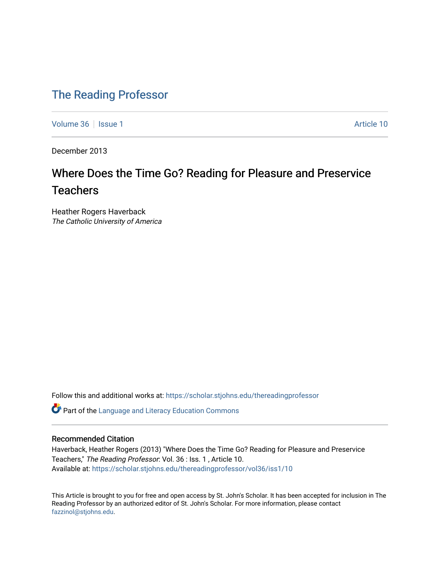# [The Reading Professor](https://scholar.stjohns.edu/thereadingprofessor)

[Volume 36](https://scholar.stjohns.edu/thereadingprofessor/vol36) | [Issue 1](https://scholar.stjohns.edu/thereadingprofessor/vol36/iss1) Article 10

December 2013

# Where Does the Time Go? Reading for Pleasure and Preservice **Teachers**

Heather Rogers Haverback The Catholic University of America

Follow this and additional works at: [https://scholar.stjohns.edu/thereadingprofessor](https://scholar.stjohns.edu/thereadingprofessor?utm_source=scholar.stjohns.edu%2Fthereadingprofessor%2Fvol36%2Fiss1%2F10&utm_medium=PDF&utm_campaign=PDFCoverPages) 

Part of the [Language and Literacy Education Commons](http://network.bepress.com/hgg/discipline/1380?utm_source=scholar.stjohns.edu%2Fthereadingprofessor%2Fvol36%2Fiss1%2F10&utm_medium=PDF&utm_campaign=PDFCoverPages) 

# Recommended Citation

Haverback, Heather Rogers (2013) "Where Does the Time Go? Reading for Pleasure and Preservice Teachers," The Reading Professor: Vol. 36 : Iss. 1 , Article 10. Available at: [https://scholar.stjohns.edu/thereadingprofessor/vol36/iss1/10](https://scholar.stjohns.edu/thereadingprofessor/vol36/iss1/10?utm_source=scholar.stjohns.edu%2Fthereadingprofessor%2Fvol36%2Fiss1%2F10&utm_medium=PDF&utm_campaign=PDFCoverPages)

This Article is brought to you for free and open access by St. John's Scholar. It has been accepted for inclusion in The Reading Professor by an authorized editor of St. John's Scholar. For more information, please contact [fazzinol@stjohns.edu](mailto:fazzinol@stjohns.edu).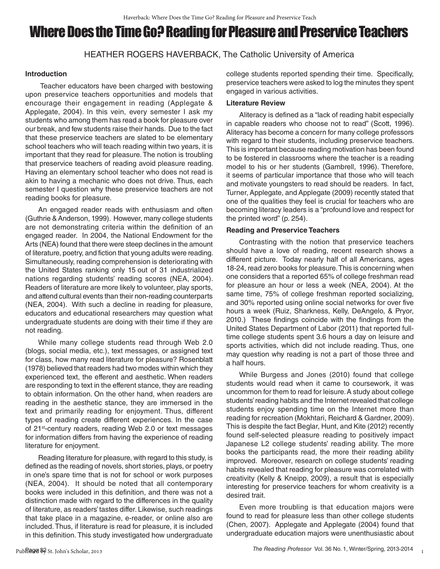# Where Does the Time Go? Reading for Pleasure and Preservice Teachers

HEATHER ROGERS HAVERBACK, The Catholic University of America

# **Introduction**

 Teacher educators have been charged with bestowing upon preservice teachers opportunities and models that encourage their engagement in reading (Applegate & Applegate, 2004). In this vein, every semester I ask my students who among them has read a book for pleasure over our break, and few students raise their hands. Due to the fact that these preservice teachers are slated to be elementary school teachers who will teach reading within two years, it is important that they read for pleasure. The notion is troubling that preservice teachers of reading avoid pleasure reading. Having an elementary school teacher who does not read is akin to having a mechanic who does not drive. Thus, each semester I question why these preservice teachers are not reading books for pleasure.

An engaged reader reads with enthusiasm and often (Guthrie & Anderson, 1999). However, many college students are not demonstrating criteria within the definition of an engaged reader. In 2004, the National Endowment for the Arts (NEA) found that there were steep declines in the amount of literature, poetry, and fiction that young adults were reading. Simultaneously, reading comprehension is deteriorating with the United States ranking only 15 out of 31 industrialized nations regarding students' reading scores (NEA, 2004). Readers of literature are more likely to volunteer, play sports, and attend cultural events than their non-reading counterparts (NEA, 2004). With such a decline in reading for pleasure, educators and educational researchers may question what undergraduate students are doing with their time if they are not reading.

While many college students read through Web 2.0 (blogs, social media, etc.), text messages, or assigned text for class, how many read literature for pleasure? Rosenblatt (1978) believed that readers had two modes within which they experienced text, the efferent and aesthetic. When readers are responding to text in the efferent stance, they are reading to obtain information. On the other hand, when readers are reading in the aesthetic stance, they are immersed in the text and primarily reading for enjoyment. Thus, different types of reading create different experiences. In the case of 21<sup>st</sup>-century readers, reading Web 2.0 or text messages for information differs from having the experience of reading literature for enjoyment.

Reading literature for pleasure, with regard to this study, is defined as the reading of novels, short stories, plays, or poetry in one's spare time that is not for school or work purposes (NEA, 2004). It should be noted that all contemporary books were included in this definition, and there was not a distinction made with regard to the differences in the quality of literature, as readers' tastes differ. Likewise, such readings that take place in a magazine, e-reader, or online also are included. Thus, if literature is read for pleasure, it is included in this definition. This study investigated how undergraduate college students reported spending their time. Specifically, preservice teachers were asked to log the minutes they spent engaged in various activities.

# **Literature Review**

Aliteracy is defined as a "lack of reading habit especially in capable readers who choose not to read" (Scott, 1996). Aliteracy has become a concern for many college professors with regard to their students, including preservice teachers. This is important because reading motivation has been found to be fostered in classrooms where the teacher is a reading model to his or her students (Gambrell, 1996). Therefore, it seems of particular importance that those who will teach and motivate youngsters to read should be readers. In fact, Turner, Applegate, and Applegate (2009) recently stated that one of the qualities they feel is crucial for teachers who are becoming literacy leaders is a "profound love and respect for the printed word" (p. 254).

# **Reading and Preservice Teachers**

Contrasting with the notion that preservice teachers should have a love of reading, recent research shows a different picture. Today nearly half of all Americans, ages 18-24, read zero books for pleasure. This is concerning when one considers that a reported 65% of college freshman read for pleasure an hour or less a week (NEA, 2004). At the same time, 75% of college freshman reported socializing, and 30% reported using online social networks for over five hours a week (Ruiz, Sharkness, Kelly, DeAngelo, & Pryor, 2010.) These findings coincide with the findings from the United States Department of Labor (2011) that reported fulltime college students spent 3.6 hours a day on leisure and sports activities, which did not include reading. Thus, one may question why reading is not a part of those three and a half hours.

While Burgess and Jones (2010) found that college students would read when it came to coursework, it was uncommon for them to read for leisure. A study about college students' reading habits and the Internet revealed that college students enjoy spending time on the Internet more than reading for recreation (Mokhtari, Reichard & Gardner, 2009). This is despite the fact Beglar, Hunt, and Kite (2012) recently found self-selected pleasure reading to positively impact Japanese L2 college students' reading ability. The more books the participants read, the more their reading ability improved. Moreover, research on college students' reading habits revealed that reading for pleasure was correlated with creativity (Kelly & Kneipp, 2009), a result that is especially interesting for preservice teachers for whom creativity is a desired trait.

Even more troubling is that education majors were found to read for pleasure less than other college students (Chen, 2007). Applegate and Applegate (2004) found that undergraduate education majors were unenthusiastic about

1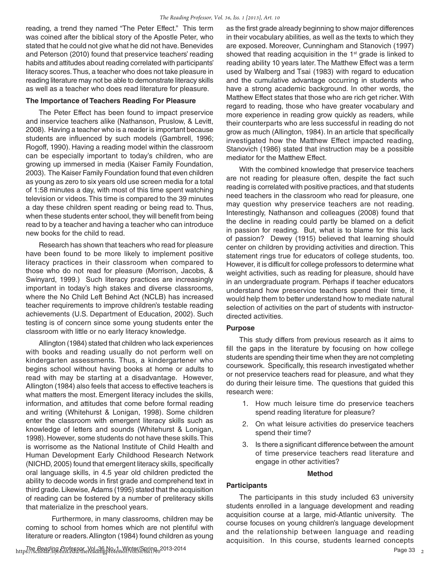reading, a trend they named "The Peter Effect." This term was coined after the biblical story of the Apostle Peter, who stated that he could not give what he did not have. Benevides and Peterson (2010) found that preservice teachers' reading habits and attitudes about reading correlated with participants' literacy scores. Thus, a teacher who does not take pleasure in reading literature may not be able to demonstrate literacy skills as well as a teacher who does read literature for pleasure.

#### **The Importance of Teachers Reading For Pleasure**

The Peter Effect has been found to impact preservice and inservice teachers alike (Nathanson, Pruslow, & Levitt, 2008). Having a teacher who is a reader is important because students are influenced by such models (Gambrell, 1996; Rogoff, 1990). Having a reading model within the classroom can be especially important to today's children, who are growing up immersed in media (Kaiser Family Foundation, 2003). The Kaiser Family Foundation found that even children as young as zero to six years old use screen media for a total of 1:58 minutes a day, with most of this time spent watching television or videos. This time is compared to the 39 minutes a day these children spent reading or being read to. Thus, when these students enter school, they will benefit from being read to by a teacher and having a teacher who can introduce new books for the child to read.

Research has shown that teachers who read for pleasure have been found to be more likely to implement positive literacy practices in their classroom when compared to those who do not read for pleasure (Morrison, Jacobs, & Swinyard, 1999.) Such literacy practices are increasingly important in today's high stakes and diverse classrooms, where the No Child Left Behind Act (NCLB) has increased teacher requirements to improve children's testable reading achievements (U.S. Department of Education, 2002). Such testing is of concern since some young students enter the classroom with little or no early literacy knowledge.

Allington (1984) stated that children who lack experiences with books and reading usually do not perform well on kindergarten assessments. Thus, a kindergartener who begins school without having books at home or adults to read with may be starting at a disadvantage. However, Allington (1984) also feels that access to effective teachers is what matters the most. Emergent literacy includes the skills, information, and attitudes that come before formal reading and writing (Whitehurst & Lonigan, 1998). Some children enter the classroom with emergent literacy skills such as knowledge of letters and sounds (Whitehurst & Lonigan, 1998). However, some students do not have these skills. This is worrisome as the National Institute of Child Health and Human Development Early Childhood Research Network (NICHD, 2005) found that emergent literacy skills, specifically oral language skills, in 4.5 year old children predicted the ability to decode words in first grade and comprehend text in third grade. Likewise, Adams (1995) stated that the acquisition of reading can be fostered by a number of preliteracy skills that materialize in the preschool years.

Furthermore, in many classrooms, children may be coming to school from homes which are not plentiful with literature or readers. Allington (1984) found children as young as the first grade already beginning to show major differences in their vocabulary abilities, as well as the texts to which they are exposed. Moreover, Cunningham and Stanovich (1997) showed that reading acquisition in the 1<sup>st</sup> grade is linked to reading ability 10 years later. The Matthew Effect was a term used by Walberg and Tsai (1983) with regard to education and the cumulative advantage occurring in students who have a strong academic background. In other words, the Matthew Effect states that those who are rich get richer. With regard to reading, those who have greater vocabulary and more experience in reading grow quickly as readers, while their counterparts who are less successful in reading do not grow as much (Allington, 1984). In an article that specifically investigated how the Matthew Effect impacted reading, Stanovich (1986) stated that instruction may be a possible mediator for the Matthew Effect.

With the combined knowledge that preservice teachers are not reading for pleasure often, despite the fact such reading is correlated with positive practices, and that students need teachers in the classroom who read for pleasure, one may question why preservice teachers are not reading. Interestingly, Nathanson and colleagues (2008) found that the decline in reading could partly be blamed on a deficit in passion for reading. But, what is to blame for this lack of passion? Dewey (1915) believed that learning should center on children by providing activities and direction. This statement rings true for educators of college students, too. However, it is difficult for college professors to determine what weight activities, such as reading for pleasure, should have in an undergraduate program. Perhaps if teacher educators understand how preservice teachers spend their time, it would help them to better understand how to mediate natural selection of activities on the part of students with instructordirected activities.

# **Purpose**

This study differs from previous research as it aims to fill the gaps in the literature by focusing on how college students are spending their time when they are not completing coursework. Specifically, this research investigated whether or not preservice teachers read for pleasure, and what they do during their leisure time. The questions that guided this research were:

- 1. How much leisure time do preservice teachers spend reading literature for pleasure?
- 2. On what leisure activities do preservice teachers spend their time?
- 3. Is there a signifcant difference between the amount of time preservice teachers read literature and engage in other activities?

# **Method**

# **Participants**

The participants in this study included 63 university students enrolled in a language development and reading acquisition course at a large, mid-Atlantic university. The course focuses on young children's language development and the relationship between language and reading acquisition. In this course, students learned concepts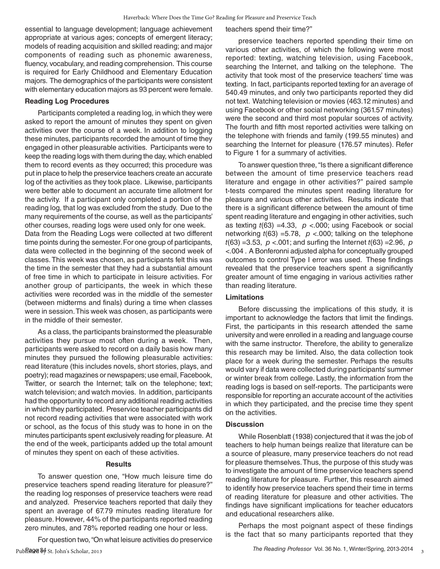essential to language development; language achievement appropriate at various ages; concepts of emergent literacy; models of reading acquisition and skilled reading; and major components of reading such as phonemic awareness, fluency, vocabulary, and reading comprehension. This course is required for Early Childhood and Elementary Education majors. The demographics of the participants were consistent with elementary education majors as 93 percent were female.

#### **Reading Log Procedures**

Participants completed a reading log, in which they were asked to report the amount of minutes they spent on given activities over the course of a week. In addition to logging these minutes, participants recorded the amount of time they engaged in other pleasurable activities. Participants were to keep the reading logs with them during the day, which enabled them to record events as they occurred; this procedure was put in place to help the preservice teachers create an accurate log of the activities as they took place. Likewise, participants were better able to document an accurate time allotment for the activity. If a participant only completed a portion of the reading log, that log was excluded from the study. Due to the many requirements of the course, as well as the participants' other courses, reading logs were used only for one week. Data from the Reading Logs were collected at two different time points during the semester. For one group of participants, data were collected in the beginning of the second week of classes. This week was chosen, as participants felt this was the time in the semester that they had a substantial amount of free time in which to participate in leisure activities. For another group of participants, the week in which these activities were recorded was in the middle of the semester (between midterms and finals) during a time when classes were in session. This week was chosen, as participants were in the middle of their semester.

As a class, the participants brainstormed the pleasurable activities they pursue most often during a week. Then, participants were asked to record on a daily basis how many minutes they pursued the following pleasurable activities: read literature (this includes novels, short stories, plays, and poetry); read magazines or newspapers; use email, Facebook, Twitter, or search the Internet; talk on the telephone; text; watch television; and watch movies. In addition, participants had the opportunity to record any additional reading activities in which they participated. Preservice teacher participants did not record reading activities that were associated with work or school, as the focus of this study was to hone in on the minutes participants spent exclusively reading for pleasure. At the end of the week, participants added up the total amount of minutes they spent on each of these activities.

#### **Results**

To answer question one, "How much leisure time do preservice teachers spend reading literature for pleasure?" the reading log responses of preservice teachers were read and analyzed. Preservice teachers reported that daily they spent an average of 67.79 minutes reading literature for pleasure. However, 44% of the participants reported reading zero minutes, and 78% reported reading one hour or less.

For question two, "On what leisure activities do preservice

teachers spend their time?"

preservice teachers reported spending their time on various other activities, of which the following were most reported: texting, watching television, using Facebook, searching the Internet, and talking on the telephone. The activity that took most of the preservice teachers' time was texting. In fact, participants reported texting for an average of 540.49 minutes, and only two participants reported they did not text. Watching television or movies (463.12 minutes) and using Facebook or other social networking (361.57 minutes) were the second and third most popular sources of activity. The fourth and fifth most reported activities were talking on the telephone with friends and family (199.55 minutes) and searching the Internet for pleasure (176.57 minutes). Refer to Figure 1 for a summary of activities.

To answer question three, "Is there a significant difference between the amount of time preservice teachers read literature and engage in other activities?" paired sample t-tests compared the minutes spent reading literature for pleasure and various other activities. Results indicate that there is a significant difference between the amount of time spent reading literature and engaging in other activities, such as texting *t*(63) =4.33, *p* <.000; using Facebook or social networking *t*(63) =5.78, *p* <.000; talking on the telephone *t*(63) =3.53, *p* <.001; and surfing the Internet *t*(63) =2.96, *p* <.004 . A Bonferonni adjusted alpha for conceptually grouped outcomes to control Type I error was used. These findings revealed that the preservice teachers spent a significantly greater amount of time engaging in various activities rather than reading literature.

# **Limitations**

Before discussing the implications of this study, it is important to acknowledge the factors that limit the findings. First, the participants in this research attended the same university and were enrolled in a reading and language course with the same instructor. Therefore, the ability to generalize this research may be limited. Also, the data collection took place for a week during the semester. Perhaps the results would vary if data were collected during participants' summer or winter break from college. Lastly, the information from the reading logs is based on self-reports. The participants were responsible for reporting an accurate account of the activities in which they participated, and the precise time they spent on the activities.

# **Discussion**

While Rosenblatt (1938) conjectured that it was the job of teachers to help human beings realize that literature can be a source of pleasure, many preservice teachers do not read for pleasure themselves. Thus, the purpose of this study was to investigate the amount of time preservice teachers spend reading literature for pleasure. Further, this research aimed to identify how preservice teachers spend their time in terms of reading literature for pleasure and other activities. The findings have significant implications for teacher educators and educational researchers alike.

Perhaps the most poignant aspect of these findings is the fact that so many participants reported that they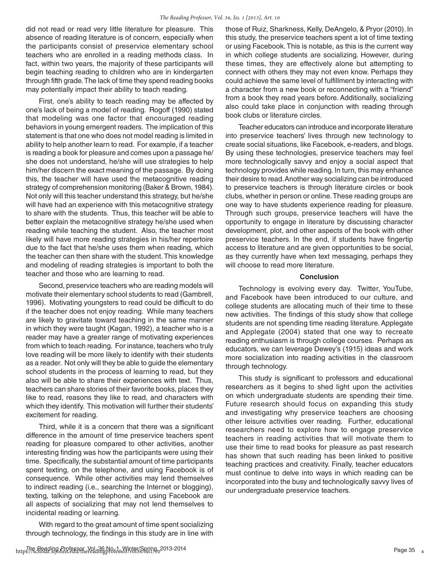did not read or read very little literature for pleasure. This absence of reading literature is of concern, especially when the participants consist of preservice elementary school teachers who are enrolled in a reading methods class. In fact, within two years, the majority of these participants will begin teaching reading to children who are in kindergarten through fifth grade. The lack of time they spend reading books may potentially impact their ability to teach reading.

First, one's ability to teach reading may be affected by one's lack of being a model of reading. Rogoff (1990) stated that modeling was one factor that encouraged reading behaviors in young emergent readers. The implication of this statement is that one who does not model reading is limited in ability to help another learn to read. For example, if a teacher is reading a book for pleasure and comes upon a passage he/ she does not understand, he/she will use strategies to help him/her discern the exact meaning of the passage. By doing this, the teacher will have used the metacognitive reading strategy of comprehension monitoring (Baker & Brown, 1984). Not only will this teacher understand this strategy, but he/she will have had an experience with this metacognitive strategy to share with the students. Thus, this teacher will be able to better explain the metacognitive strategy he/she used when reading while teaching the student. Also, the teacher most likely will have more reading strategies in his/her repertoire due to the fact that he/she uses them when reading, which the teacher can then share with the student. This knowledge and modeling of reading strategies is important to both the teacher and those who are learning to read.

Second, preservice teachers who are reading models will motivate their elementary school students to read (Gambrell, 1996). Motivating youngsters to read could be difficult to do if the teacher does not enjoy reading. While many teachers are likely to gravitate toward teaching in the same manner in which they were taught (Kagan, 1992), a teacher who is a reader may have a greater range of motivating experiences from which to teach reading. For instance, teachers who truly love reading will be more likely to identify with their students as a reader. Not only will they be able to guide the elementary school students in the process of learning to read, but they also will be able to share their experiences with text. Thus, teachers can share stories of their favorite books, places they like to read, reasons they like to read, and characters with which they identify. This motivation will further their students' excitement for reading.

Third, while it is a concern that there was a significant difference in the amount of time preservice teachers spent reading for pleasure compared to other activities, another interesting finding was how the participants were using their time. Specifically, the substantial amount of time participants spent texting, on the telephone, and using Facebook is of consequence. While other activities may lend themselves to indirect reading (i.e., searching the Internet or blogging), texting, talking on the telephone, and using Facebook are all aspects of socializing that may not lend themselves to incidental reading or learning.

With regard to the great amount of time spent socializing through technology, the findings in this study are in line with those of Ruiz, Sharkness, Kelly, DeAngelo, & Pryor (2010). In this study, the preservice teachers spent a lot of time texting or using Facebook. This is notable, as this is the current way in which college students are socializing. However, during these times, they are effectively alone but attempting to connect with others they may not even know. Perhaps they could achieve the same level of fulfillment by interacting with a character from a new book or reconnecting with a "friend" from a book they read years before. Additionally, socializing also could take place in conjunction with reading through book clubs or literature circles.

Teacher educators can introduce and incorporate literature into preservice teachers' lives through new technology to create social situations, like Facebook, e-readers, and blogs. By using these technologies, preservice teachers may feel more technologically savvy and enjoy a social aspect that technology provides while reading. In turn, this may enhance their desire to read. Another way socializing can be introduced to preservice teachers is through literature circles or book clubs, whether in person or online. These reading groups are one way to have students experience reading for pleasure. Through such groups, preservice teachers will have the opportunity to engage in literature by discussing character development, plot, and other aspects of the book with other preservice teachers. In the end, if students have fingertip access to literature and are given opportunities to be social, as they currently have when text messaging, perhaps they will choose to read more literature.

#### **Conclusion**

Technology is evolving every day. Twitter, YouTube, and Facebook have been introduced to our culture, and college students are allocating much of their time to these new activities. The findings of this study show that college students are not spending time reading literature. Applegate and Applegate (2004) stated that one way to recreate reading enthusiasm is through college courses. Perhaps as educators, we can leverage Dewey's (1915) ideas and work more socialization into reading activities in the classroom through technology.

This study is significant to professors and educational researchers as it begins to shed light upon the activities on which undergraduate students are spending their time. Future research should focus on expanding this study and investigating why preservice teachers are choosing other leisure activities over reading. Further, educational researchers need to explore how to engage preservice teachers in reading activities that will motivate them to use their time to read books for pleasure as past research has shown that such reading has been linked to positive teaching practices and creativity. Finally, teacher educators must continue to delve into ways in which reading can be incorporated into the busy and technologically savvy lives of our undergraduate preservice teachers.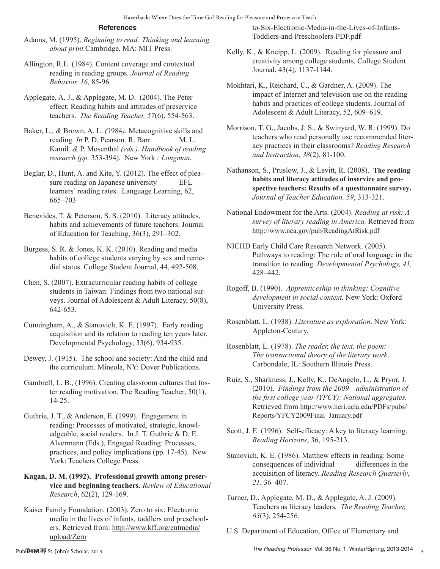# **References**

- Adams, M. (1995). *Beginning to read: Thinking and learning about print.*Cambridge, MA: MIT Press.
- Allington, R.L. (1984). Content coverage and contextual reading in reading groups. *Journal of Reading Behavior, 16,* 85-96.
- Applegate, A. J., & Applegate, M. D. (2004). The Peter effect: Reading habits and attitudes of preservice teachers. *The Reading Teacher, 57*(6), 554-563.
- Baker, L.*, &* Brown, A. L. *(*1984*).* Metacognitive skills and reading*. In* P. D. Pearson, R. Barr, M. L. Kamil*, &* P. Mosenthal *(eds.). Handbook of reading research (pp.* 353-394)*.* New York *: Longman.*
- Beglar, D., Hunt, A. and Kite, Y. (2012). The effect of pleasure reading on Japanese university EFL learners' reading rates. Language Learning, 62, 665–703
- Benevides, T. & Peterson, S. S. (2010). Literacy attitudes, habits and achievements of future teachers. Journal of Education for Teaching, 36(3), 291–302.
- Burgess, S. R. & Jones, K. K. (2010). Reading and media habits of college students varying by sex and remedial status. College Student Journal, 44, 492-508.
- Chen, S. (2007). Extracurricular reading habits of college students in Taiwan: Findings from two national surveys. Journal of Adolescent & Adult Literacy, 50(8), 642-653.
- Cunningham, A., & Stanovich, K. E. (1997). Early reading acquisition and its relation to reading ten years later. Developmental Psychology, 33(6), 934-935.
- Dewey, J. (1915). The school and society: And the child and the curriculum. Mineola, NY: Dover Publications.
- Gambrell, L. B., (1996). Creating classroom cultures that foster reading motivation. The Reading Teacher, 50(1), 14-25.
- Guthrie, J. T., & Anderson, E. (1999). Engagement in reading: Processes of motivated, strategic, knowledgeable, social readers. In J. T. Guthrie & D. E. Alvermann (Eds.), Engaged Reading: Processes, practices, and policy implications (pp. 17-45). New York: Teachers College Press.
- **Kagan, D. M. (1992). Professional growth among preservice and beginning teachers.** *Review of Educational Research*, 62(2), 129-169.
- Kaiser Family Foundation. (2003). Zero to six: Electronic media in the lives of infants, toddlers and preschoolers. Retrieved from: http://www.kff.org/entmedia/ upload/Zero

to-Six-Electronic-Media-in-the-Lives-of-Infants-Toddlers-and-Preschoolers-PDF.pdf

- Kelly, K., & Kneipp, L. (2009). Reading for pleasure and creativity among college students. College Student Journal, 43(4), 1137-1144.
- Mokhtari, K., Reichard, C., & Gardner, A. (2009). The impact of Internet and television use on the reading habits and practices of college students. Journal of Adolescent & Adult Literacy, 52, 609–619.
- Morrison, T. G., Jacobs, J. S., & Swinyard, W. R. (1999). Do teachers who read personally use recommended literacy practices in their classrooms? *Reading Research and Instruction, 38*(2), 81-100.
- Nathanson, S., Pruslow, J., & Levitt, R. (2008). **The reading habits and literacy attitudes of inservice and prospective teachers: Results of a questionnaire survey.**  *Journal of Teacher Education, 59*, 313-321.
- National Endowment for the Arts. (2004). *Reading at risk: A survey of literary reading in America.* Retrieved from http://www.nea.gov/pub/ReadingAtRisk.pdf
- NICHD Early Child Care Research Network. (2005). Pathways to reading: The role of oral language in the transition to reading. *Developmental Psychology, 41,*  428–442.
- Rogoff, B. (1990). *Apprenticeship in thinking: Cognitive development in social context.* New York: Oxford University Press.
- Rosenblatt, L. (1938). *Literature as exploration*. New York: Appleton-Century.
- Rosenblatt, L. (1978). *The reader, the text, the poem: The transactional theory of the literary work*. Carbondale, IL: Southern Illinois Press.
- Ruiz, S., Sharkness, J., Kelly, K., DeAngelo, L., & Pryor, J. (2010). *Findings from the 2009 administration of the frst college year (YFCY): National aggregates.* Retrieved from http://www.heri.ucla.edu/PDFs/pubs/ Reports/YFCY2009Final\_January.pdf
- Scott, J. E. (1996). Self-efficacy: A key to literacy learning. *Reading Horizons*, 36, 195-213.
- Stanovich, K. E. (1986). Matthew effects in reading: Some consequences of individual differences in the acquisition of literacy. *Reading Research Quarterly*, *21*, 36–407.
- Turner, D., Applegate, M. D., & Applegate, A. J. (2009). Teachers as literacy leaders*. The Reading Teacher, 63*(3), 254-256.
- U.S. Department of Education, Office of Elementary and